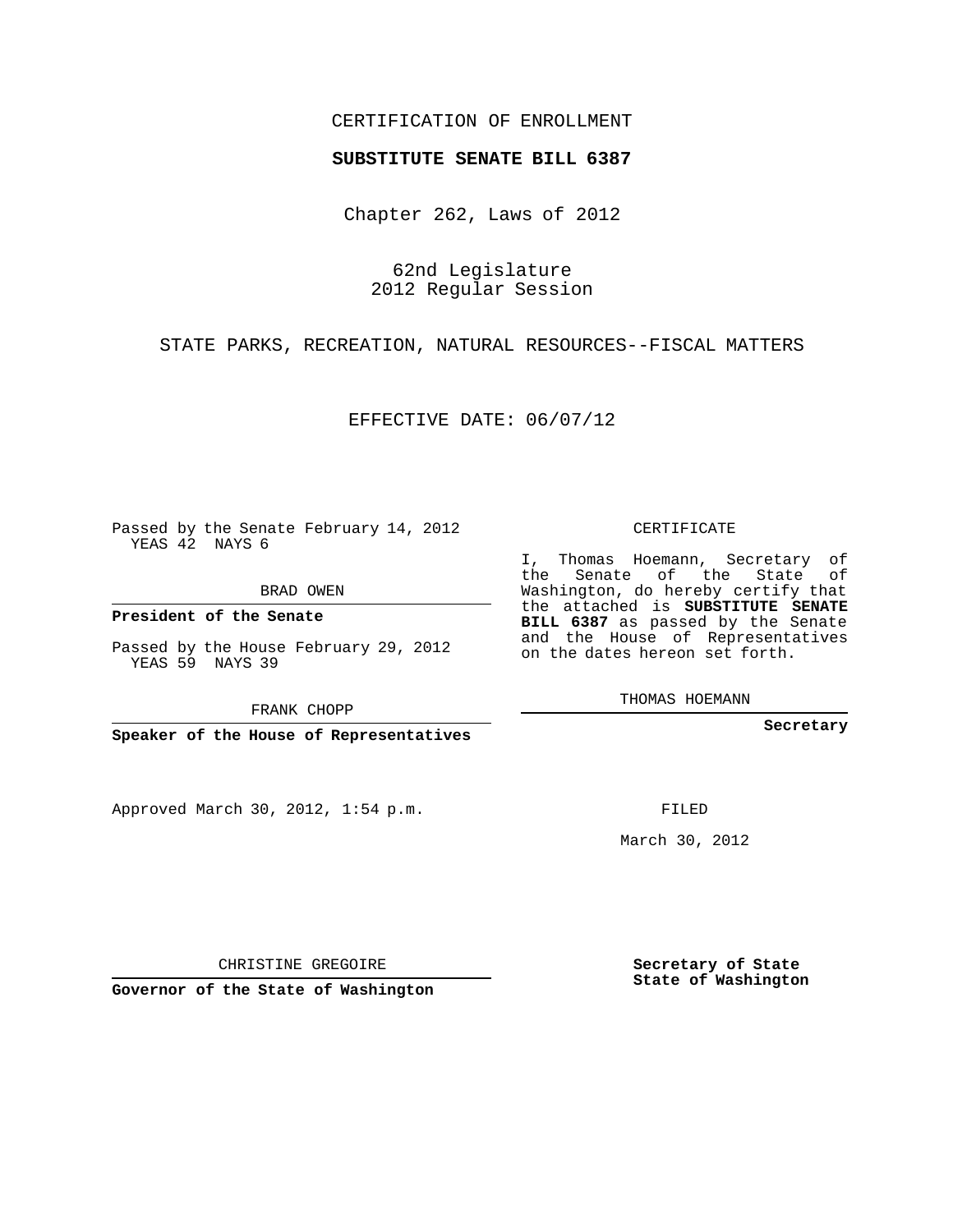## CERTIFICATION OF ENROLLMENT

## **SUBSTITUTE SENATE BILL 6387**

Chapter 262, Laws of 2012

62nd Legislature 2012 Regular Session

STATE PARKS, RECREATION, NATURAL RESOURCES--FISCAL MATTERS

EFFECTIVE DATE: 06/07/12

Passed by the Senate February 14, 2012 YEAS 42 NAYS 6

BRAD OWEN

**President of the Senate**

Passed by the House February 29, 2012 YEAS 59 NAYS 39

FRANK CHOPP

**Speaker of the House of Representatives**

Approved March 30, 2012, 1:54 p.m.

CERTIFICATE

I, Thomas Hoemann, Secretary of the Senate of the State of Washington, do hereby certify that the attached is **SUBSTITUTE SENATE BILL 6387** as passed by the Senate and the House of Representatives on the dates hereon set forth.

THOMAS HOEMANN

**Secretary**

FILED

March 30, 2012

**Secretary of State State of Washington**

CHRISTINE GREGOIRE

**Governor of the State of Washington**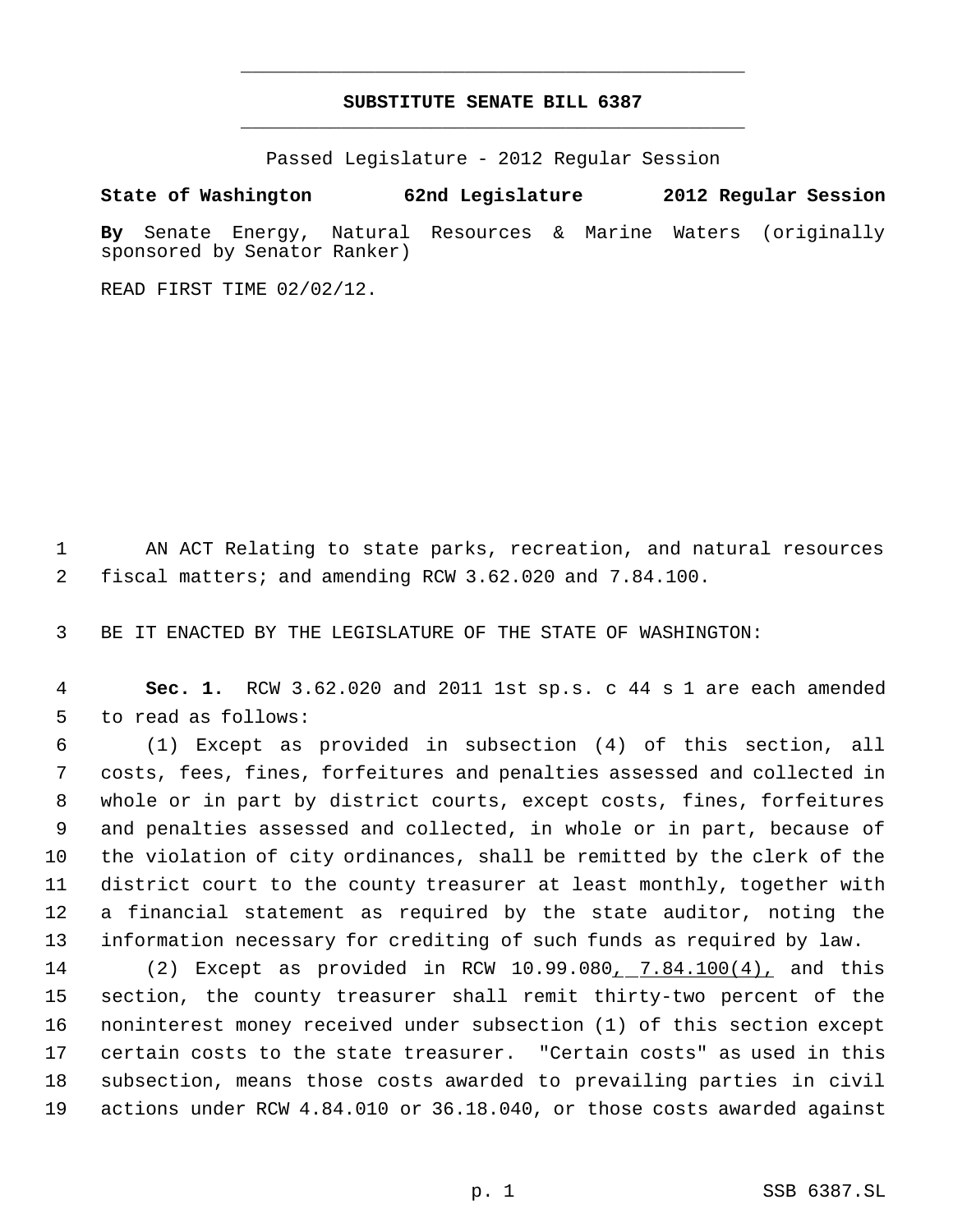## **SUBSTITUTE SENATE BILL 6387** \_\_\_\_\_\_\_\_\_\_\_\_\_\_\_\_\_\_\_\_\_\_\_\_\_\_\_\_\_\_\_\_\_\_\_\_\_\_\_\_\_\_\_\_\_

\_\_\_\_\_\_\_\_\_\_\_\_\_\_\_\_\_\_\_\_\_\_\_\_\_\_\_\_\_\_\_\_\_\_\_\_\_\_\_\_\_\_\_\_\_

Passed Legislature - 2012 Regular Session

**State of Washington 62nd Legislature 2012 Regular Session**

**By** Senate Energy, Natural Resources & Marine Waters (originally sponsored by Senator Ranker)

READ FIRST TIME 02/02/12.

 AN ACT Relating to state parks, recreation, and natural resources fiscal matters; and amending RCW 3.62.020 and 7.84.100.

BE IT ENACTED BY THE LEGISLATURE OF THE STATE OF WASHINGTON:

 **Sec. 1.** RCW 3.62.020 and 2011 1st sp.s. c 44 s 1 are each amended to read as follows:

 (1) Except as provided in subsection (4) of this section, all costs, fees, fines, forfeitures and penalties assessed and collected in whole or in part by district courts, except costs, fines, forfeitures and penalties assessed and collected, in whole or in part, because of the violation of city ordinances, shall be remitted by the clerk of the district court to the county treasurer at least monthly, together with a financial statement as required by the state auditor, noting the information necessary for crediting of such funds as required by law.

14 (2) Except as provided in RCW 10.99.080<sub>1.</sub> 7.84.100(4), and this section, the county treasurer shall remit thirty-two percent of the noninterest money received under subsection (1) of this section except certain costs to the state treasurer. "Certain costs" as used in this subsection, means those costs awarded to prevailing parties in civil actions under RCW 4.84.010 or 36.18.040, or those costs awarded against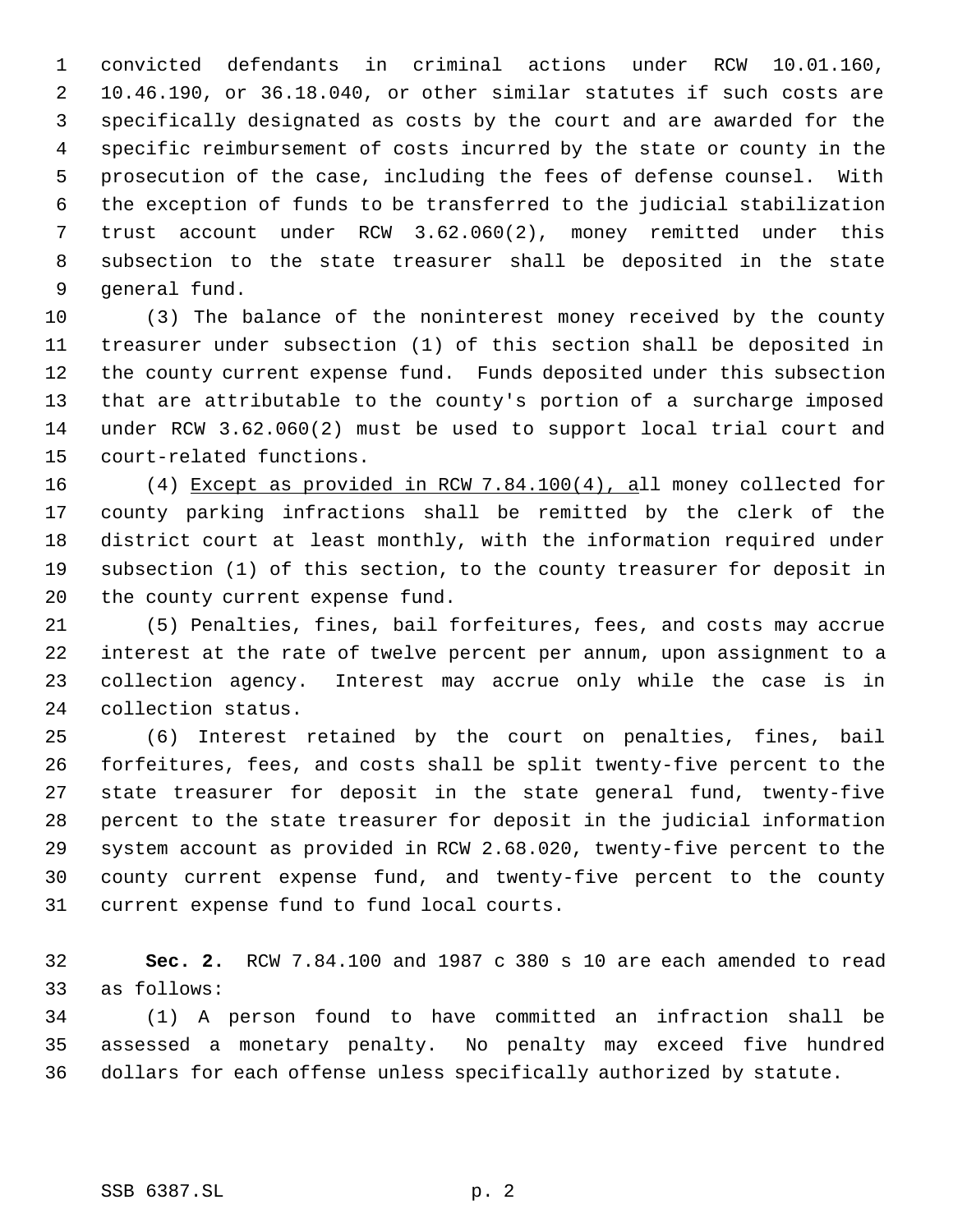convicted defendants in criminal actions under RCW 10.01.160, 10.46.190, or 36.18.040, or other similar statutes if such costs are specifically designated as costs by the court and are awarded for the specific reimbursement of costs incurred by the state or county in the prosecution of the case, including the fees of defense counsel. With the exception of funds to be transferred to the judicial stabilization trust account under RCW 3.62.060(2), money remitted under this subsection to the state treasurer shall be deposited in the state general fund.

 (3) The balance of the noninterest money received by the county treasurer under subsection (1) of this section shall be deposited in the county current expense fund. Funds deposited under this subsection that are attributable to the county's portion of a surcharge imposed under RCW 3.62.060(2) must be used to support local trial court and court-related functions.

 (4) Except as provided in RCW 7.84.100(4), all money collected for county parking infractions shall be remitted by the clerk of the district court at least monthly, with the information required under subsection (1) of this section, to the county treasurer for deposit in the county current expense fund.

 (5) Penalties, fines, bail forfeitures, fees, and costs may accrue interest at the rate of twelve percent per annum, upon assignment to a collection agency. Interest may accrue only while the case is in collection status.

 (6) Interest retained by the court on penalties, fines, bail forfeitures, fees, and costs shall be split twenty-five percent to the state treasurer for deposit in the state general fund, twenty-five percent to the state treasurer for deposit in the judicial information system account as provided in RCW 2.68.020, twenty-five percent to the county current expense fund, and twenty-five percent to the county current expense fund to fund local courts.

 **Sec. 2.** RCW 7.84.100 and 1987 c 380 s 10 are each amended to read as follows:

 (1) A person found to have committed an infraction shall be assessed a monetary penalty. No penalty may exceed five hundred dollars for each offense unless specifically authorized by statute.